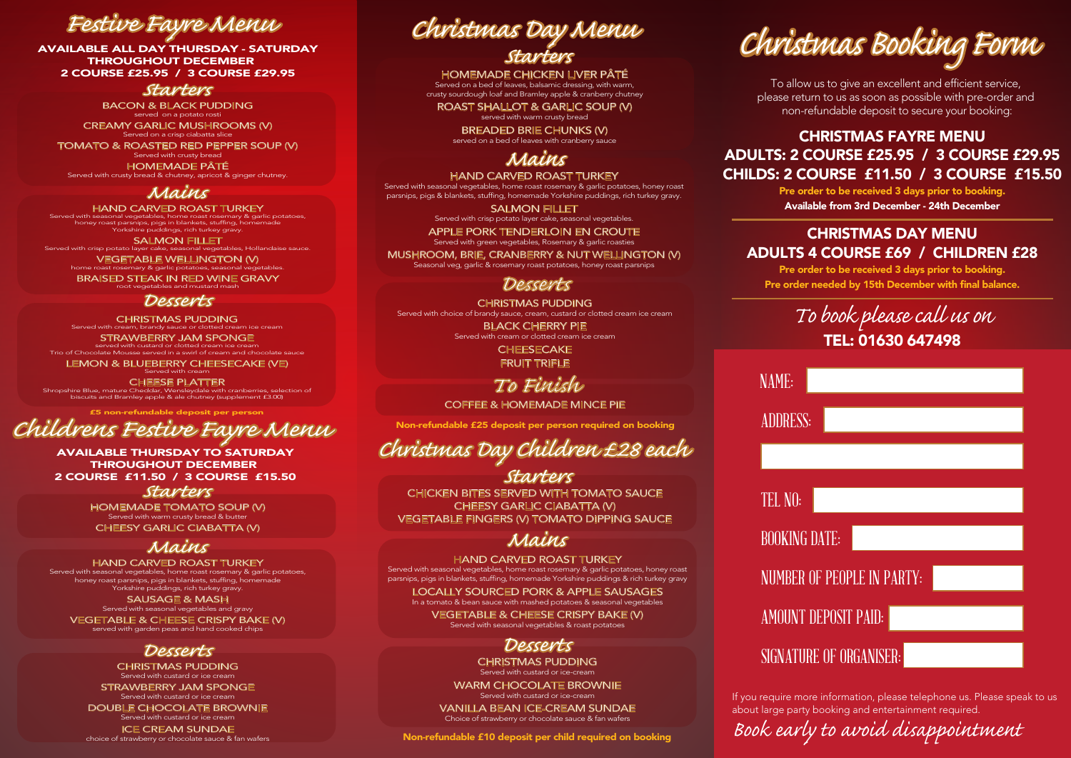AVAILABLE ALL DAY THURSDAY - SATURDAY THROUGHOUT DECEMBER 2 COURSE £25.95 / 3 COURSE £29.95

#### *Starters*

BACON & BLACK PUDDING served on a potato rosti

CREAMY GARLIC MUSHROOMS (V) Served on a crisp ciabatta slice TOMATO & ROASTED RED PEPPER SOUP (V) Served with crusty bread HOMEMADE PÂTÉ Served with crusty bread & chutney, apricot & ginger chutney.

*Mains*<br>HAND CARVED ROAST TURKEY HAND CARVED ROAST TURKEY<br>Served with seasonal vegetables, home roast rosemary & garlic potatoes,<br>honey roast parsnips, pigs in blankets, stuffing, homemade<br>Yorkshire puddings, rich turkey gravy.

SALMON FILLET<br>Served with crisp potato layer cake, seasonal vegetables, Hollandaise sauce. VEGETABLE WELLINGTON (V)<br>home roast rosemary & garlic potatoes, seasonal veget

BRAISED STEAK IN RED WINE GRAVY

*Desserts* Served with cream, brandy sauce or clotted cream ice cream STRAWBERRY JAM SPONGE served with custard or clotted cream ice cream Trio of Chocolate Mousse served in a swirl of cream and chocolate sauce

LEMON & BLUEBERRY CHEESECAKE (VE)

CHEESE PLATTER Shropshire Blue, mature Cheddar, Wensleydale with cranberries, selection of biscuits and Bramley apple & ale chutney (supplement £3.00)

£5 non-refundable deposit per person

# *Childrens Festive Fayre Menu Christmas Day Children £28 each*

AVAILABLE THURSDAY TO SATURDAY THROUGHOUT DECEMBER 2 COURSE £11.50 / 3 COURSE £15.50

#### *Starters*

HOMEMADE TOMATO SOUP (V) Served with warm crusty bread & butter CHEESY GARLIC CIABATTA (V)

## *Mains*

HAND CARVED ROAST TURKEY Served with seasonal vegetables, home roast rosemary & garlic potatoes, honey roast parsnips, pigs in blankets, stuffing, homemade Yorkshire puddings, rich turkey gravy. SAUSAGE & MASH Served with seasonal vegetables and gravy VEGETABLE & CHEESE CRISPY BAKE (V) served with garden peas and hand cooked chips

### *Desserts*

CHRISTMAS PUDDING Served with custard or ice cream STRAWBERRY JAM SPONGE<br>Served with custard or ice cream DOUBLE CHOCOLATE BROWNIE Served with custard or ice cream ICE CREAM SUNDAE choice of strawberry or chocolate sauce & fan wafers

# *Starters Festive Fayre Menu Christmas Day Menu*

HOMEMADE CHICKEN LIVER PÂTÉ Served on a bed of leaves, balsamic dressing, with warm crusty sourdough loaf and Bramley apple & cranberry chutney

ROAST SHALLOT & GARLIC SOUP (V) served with warm crusty bread

BREADED BRIE CHUNKS (V) served on a bed of leaves with cranberry sauce

# *Mains*

HAND CARVED ROAST TURKEY Served with seasonal vegetables, home roast rosemary & garlic potatoes, honey roast parsnips, pigs & blankets, stuffing, homemade Yorkshire puddings, rich turkey gravy.

SALMON FILLET Served with crisp potato layer cake, seasonal vegetables.

APPLE PORK TENDERLOIN EN CROUTE Served with green vegetables, Rosemary & garlic roasties MUSHROOM, BRIE, CRANBERRY & NUT WELLINGTON (V)

## Seasonal veg, garlic & rosemary roast potatoes, honey roast parsnips

#### *Desserts*

CHRISTMAS PUDDING Served with choice of brandy sauce, cream, custard or clotted cream ice cream

BLACK CHERRY PIE **CHEESECAKE** 

FRUIT TRIFLE

# *To Finish*

COFFEE & HOMEMADE MINCE PIE

Non-refundable £25 deposit per person required on booking

## *Starters*

CHICKEN BITES SERVED WITH TOMATO SAUCE CHEESY GARLIC CIABATTA (V) VEGETABLE FINGERS (V) TOMATO DIPPING SAUCE

# *Mains*

HAND CARVED ROAST TURKEY

Served with seasonal vegetables, home roast rosemary & garlic potatoes, honey roast parsnips, pigs in blankets, stuffing, homemade Yorkshire puddings & rich turkey gravy

LOCALLY SOURCED PORK & APPLE SAUSAGES In a tomato & bean sauce with mashed potatoes & seasonal vegetables VEGETABLE & CHEESE CRISPY BAKE (V)

Served with seasonal vegetables & roast potatoes

# *Desserts*

CHRISTMAS PUDDING Served with custard or ice-cream

WARM CHOCOLATE BROWNIE

VANILLA BEAN ICE-CREAM SUNDAE Choice of strawberry or chocolate sauce & fan wafers

Non-refundable £10 deposit per child required on booking

# *Christmas Booking Form*

To allow us to give an excellent and efficient service, please return to us as soon as possible with pre-order and non-refundable deposit to secure your booking:

### CHRISTMAS FAYRE MENU ADULTS: 2 COURSE £25.95 / 3 COURSE £29.95 CHILDS: 2 COURSE £11.50 / 3 COURSE £15.50

Pre order to be received 3 days prior to booking. Available from 3rd December - 24th December

#### CHRISTMAS DAY MENU ADULTS 4 COURSE £69 / CHILDREN £28

Pre order to be received 3 days prior to booking. Pre order needed by 15th December with final balance.

# *To book please call us on* TEL: 01630 647498

| <b>NUMBER OF PEOPLE IN PARTY:</b> |                      |                         |  |
|-----------------------------------|----------------------|-------------------------|--|
|                                   |                      |                         |  |
|                                   |                      |                         |  |
|                                   | AMOUNT DEPOSIT PAID: | SIGNATURE OF ORGANISER: |  |

If you require more information, please telephone us. Please speak to us about large party booking and entertainment required.

*Book early to avoid disappointment*